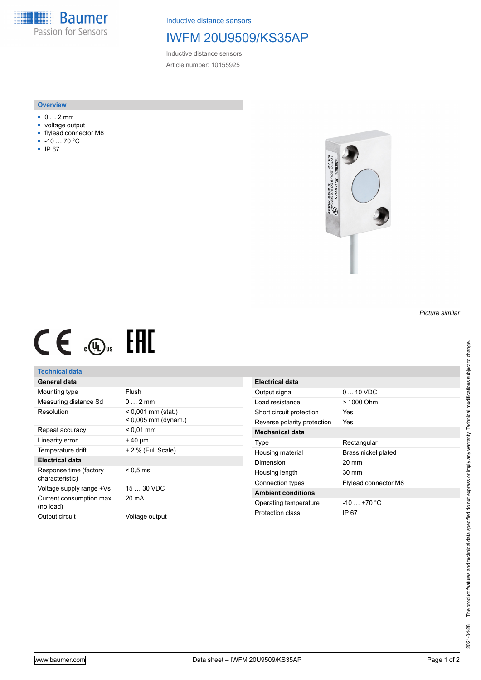**Baumer** Passion for Sensors

Inductive distance sensors

## IWFM 20U9509/KS35AP

Inductive distance sensors Article number: 10155925

#### **Overview**

- 0 … 2 mm
- voltage output
- flylead connector M8
- -10 … 70 °C
- IP 67



# $CE \mathcal{L}$  (Dus FRE

### **Technical data**

## **General data**

| Mounting type                             | Flush                                         |
|-------------------------------------------|-----------------------------------------------|
| Measuring distance Sd                     | $0 \t 2mm$                                    |
| Resolution                                | $< 0.001$ mm (stat.)<br>$< 0.005$ mm (dynam.) |
| Repeat accuracy                           | $< 0.01$ mm                                   |
| Linearity error                           | $± 40 \mu m$                                  |
| Temperature drift                         | $± 2$ % (Full Scale)                          |
| <b>Electrical data</b>                    |                                               |
| Response time (factory<br>characteristic) | $< 0.5 \,\mathrm{ms}$                         |
| Voltage supply range +Vs                  | 15  30 VDC                                    |
| Current consumption max.<br>(no load)     | 20 mA                                         |
| Output circuit                            | Voltage output                                |

| Electrical data             |                             |
|-----------------------------|-----------------------------|
| Output signal               | $0 \dots 10 \text{ VDC}$    |
| Load resistance             | $>1000$ Ohm                 |
| Short circuit protection    | Yes                         |
| Reverse polarity protection | Yes                         |
| Mechanical data             |                             |
| Type                        | Rectangular                 |
| Housing material            | Brass nickel plated         |
| Dimension                   | $20 \text{ mm}$             |
| Housing length              | $30 \text{ mm}$             |
| Connection types            | <b>Flylead connector M8</b> |
| <b>Ambient conditions</b>   |                             |
| Operating temperature       | $-10 - +70$ °C              |
| Protection class            | IP 67                       |